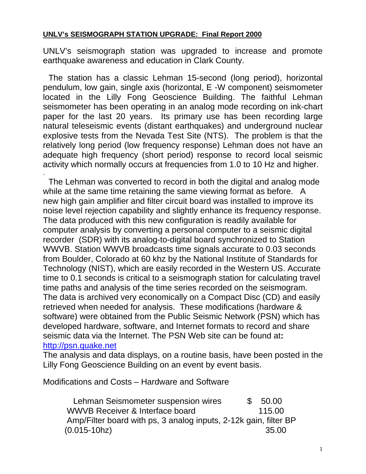### **UNLV's SEISMOGRAPH STATION UPGRADE: Final Report 2000**

UNLV's seismograph station was upgraded to increase and promote earthquake awareness and education in Clark County.

 The station has a classic Lehman 15-second (long period), horizontal pendulum, low gain, single axis (horizontal, E -W component) seismometer located in the Lilly Fong Geoscience Building. The faithful Lehman seismometer has been operating in an analog mode recording on ink-chart paper for the last 20 years. Its primary use has been recording large natural teleseismic events (distant earthquakes) and underground nuclear explosive tests from the Nevada Test Site (NTS). The problem is that the relatively long period (low frequency response) Lehman does not have an adequate high frequency (short period) response to record local seismic activity which normally occurs at frequencies from 1.0 to 10 Hz and higher. .

 The Lehman was converted to record in both the digital and analog mode while at the same time retaining the same viewing format as before. A new high gain amplifier and filter circuit board was installed to improve its noise level rejection capability and slightly enhance its frequency response. The data produced with this new configuration is readily available for computer analysis by converting a personal computer to a seismic digital recorder (SDR) with its analog-to-digital board synchronized to Station WWVB. Station WWVB broadcasts time signals accurate to 0.03 seconds from Boulder, Colorado at 60 khz by the National Institute of Standards for Technology (NIST), which are easily recorded in the Western US. Accurate time to 0.1 seconds is critical to a seismograph station for calculating travel time paths and analysis of the time series recorded on the seismogram. The data is archived very economically on a Compact Disc (CD) and easily retrieved when needed for analysis. These modifications (hardware & software) were obtained from the Public Seismic Network (PSN) which has developed hardware, software, and Internet formats to record and share seismic data via the Internet. The PSN Web site can be found at**:**  http://psn.quake.net

The analysis and data displays, on a routine basis, have been posted in the Lilly Fong Geoscience Building on an event by event basis.

Modifications and Costs – Hardware and Software

Lehman Seismometer suspension wires  $$50.00$ WWVB Receiver & Interface board 115.00 Amp/Filter board with ps, 3 analog inputs, 2-12k gain, filter BP (0.015-10hz) 35.00